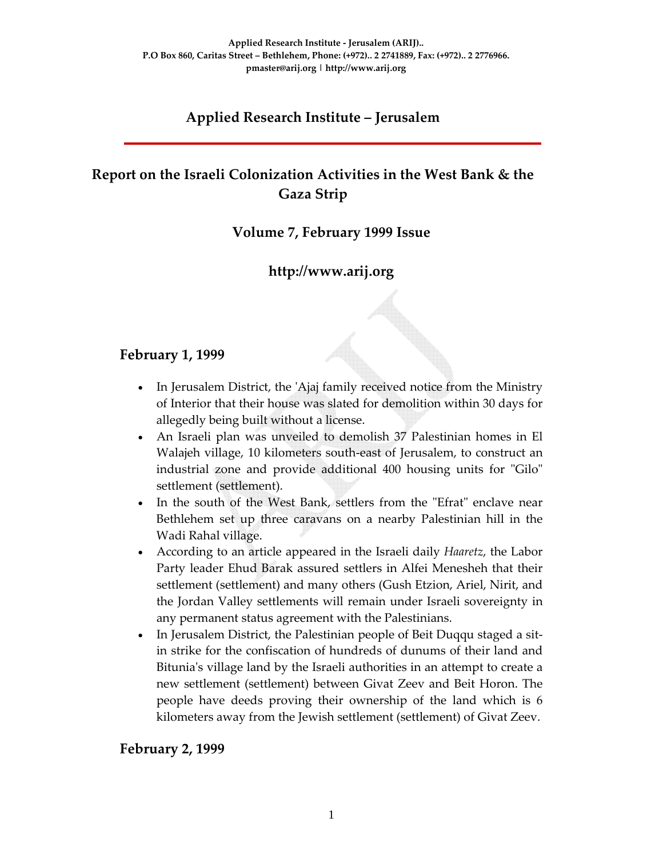# **Applied Research Institute – Jerusalem**

# **Report on the Israeli Colonization Activities in the West Bank & the Gaza Strip**

# **Volume 7, February 1999 Issue**

# **http://www.arij.org**

### **February 1, 1999**

- In Jerusalem District, the ʹAjaj family received notice from the Ministry of Interior that their house was slated for demolition within 30 days for allegedly being built without a license.
- An Israeli plan was unveiled to demolish 37 Palestinian homes in El Walajeh village, 10 kilometers south‐east of Jerusalem, to construct an industrial zone and provide additional 400 housing units for "Gilo" settlement (settlement).
- In the south of the West Bank, settlers from the "Efrat" enclave near Bethlehem set up three caravans on a nearby Palestinian hill in the Wadi Rahal village.
- According to an article appeared in the Israeli daily *Haaretz*, the Labor Party leader Ehud Barak assured settlers in Alfei Menesheh that their settlement (settlement) and many others (Gush Etzion, Ariel, Nirit, and the Jordan Valley settlements will remain under Israeli sovereignty in any permanent status agreement with the Palestinians.
- In Jerusalem District, the Palestinian people of Beit Duqqu staged a sitin strike for the confiscation of hundreds of dunums of their land and Bitunia's village land by the Israeli authorities in an attempt to create a new settlement (settlement) between Givat Zeev and Beit Horon. The people have deeds proving their ownership of the land which is 6 kilometers away from the Jewish settlement (settlement) of Givat Zeev.

#### **February 2, 1999**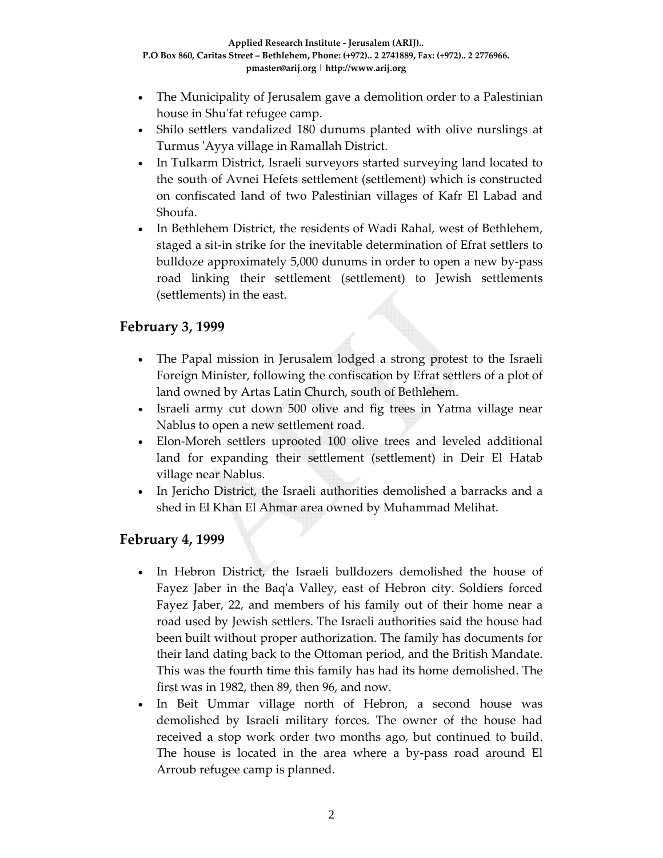- The Municipality of Jerusalem gave a demolition order to a Palestinian house in Shu'fat refugee camp.
- Shilo settlers vandalized 180 dunums planted with olive nurslings at Turmus ʹAyya village in Ramallah District.
- In Tulkarm District, Israeli surveyors started surveying land located to the south of Avnei Hefets settlement (settlement) which is constructed on confiscated land of two Palestinian villages of Kafr El Labad and Shoufa.
- In Bethlehem District, the residents of Wadi Rahal, west of Bethlehem, staged a sit‐in strike for the inevitable determination of Efrat settlers to bulldoze approximately 5,000 dunums in order to open a new by‐pass road linking their settlement (settlement) to Jewish settlements (settlements) in the east.

# **February 3, 1999**

- The Papal mission in Jerusalem lodged a strong protest to the Israeli Foreign Minister, following the confiscation by Efrat settlers of a plot of land owned by Artas Latin Church, south of Bethlehem.
- Israeli army cut down 500 olive and fig trees in Yatma village near Nablus to open a new settlement road.
- Elon-Moreh settlers uprooted 100 olive trees and leveled additional land for expanding their settlement (settlement) in Deir El Hatab village near Nablus.
- In Jericho District, the Israeli authorities demolished a barracks and a shed in El Khan El Ahmar area owned by Muhammad Melihat.

# **February 4, 1999**

- In Hebron District, the Israeli bulldozers demolished the house of Fayez Jaber in the Baqʹa Valley, east of Hebron city. Soldiers forced Fayez Jaber, 22, and members of his family out of their home near a road used by Jewish settlers. The Israeli authorities said the house had been built without proper authorization. The family has documents for their land dating back to the Ottoman period, and the British Mandate. This was the fourth time this family has had its home demolished. The first was in 1982, then 89, then 96, and now.
- In Beit Ummar village north of Hebron, a second house was demolished by Israeli military forces. The owner of the house had received a stop work order two months ago, but continued to build. The house is located in the area where a by‐pass road around El Arroub refugee camp is planned.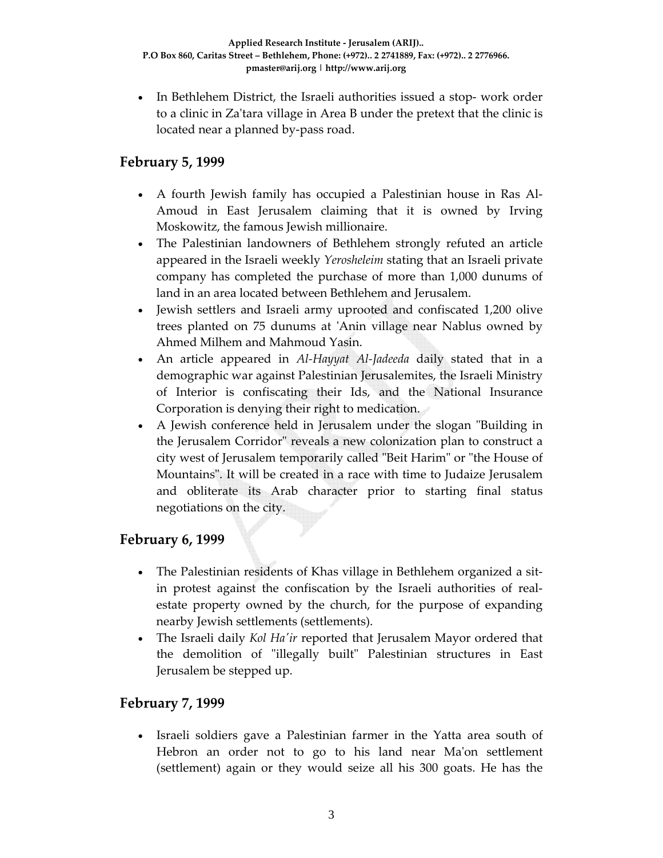• In Bethlehem District, the Israeli authorities issued a stop- work order to a clinic in Zaʹtara village in Area B under the pretext that the clinic is located near a planned by‐pass road.

# **February 5, 1999**

- A fourth Jewish family has occupied a Palestinian house in Ras Al‐ Amoud in East Jerusalem claiming that it is owned by Irving Moskowitz, the famous Jewish millionaire.
- The Palestinian landowners of Bethlehem strongly refuted an article appeared in the Israeli weekly *Yerosheleim* stating that an Israeli private company has completed the purchase of more than 1,000 dunums of land in an area located between Bethlehem and Jerusalem.
- Jewish settlers and Israeli army uprooted and confiscated 1,200 olive trees planted on 75 dunums at ʹAnin village near Nablus owned by Ahmed Milhem and Mahmoud Yasin.
- An article appeared in *Al‐Hayyat Al‐Jadeeda* daily stated that in a demographic war against Palestinian Jerusalemites, the Israeli Ministry of Interior is confiscating their Ids, and the National Insurance Corporation is denying their right to medication.
- A Jewish conference held in Jerusalem under the slogan "Building in the Jerusalem Corridor" reveals a new colonization plan to construct a city west of Jerusalem temporarily called "Beit Harim" or "the House of Mountainsʺ. It will be created in a race with time to Judaize Jerusalem and obliterate its Arab character prior to starting final status negotiations on the city.

# **February 6, 1999**

- The Palestinian residents of Khas village in Bethlehem organized a sitin protest against the confiscation by the Israeli authorities of real‐ estate property owned by the church, for the purpose of expanding nearby Jewish settlements (settlements).
- The Israeli daily *Kol Haʹir* reported that Jerusalem Mayor ordered that the demolition of "illegally built" Palestinian structures in East Jerusalem be stepped up.

# **February 7, 1999**

• Israeli soldiers gave a Palestinian farmer in the Yatta area south of Hebron an order not to go to his land near Ma'on settlement (settlement) again or they would seize all his 300 goats. He has the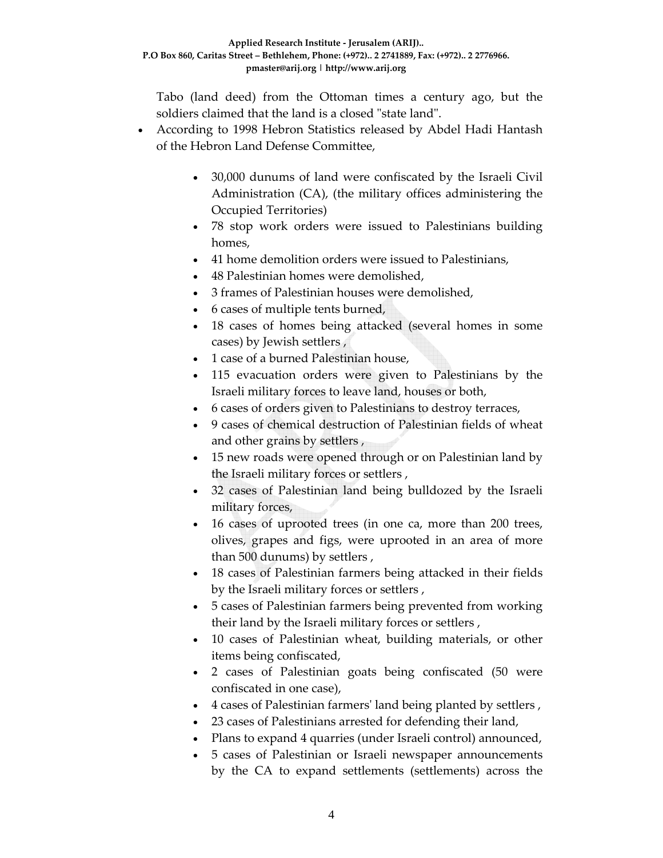Tabo (land deed) from the Ottoman times a century ago, but the soldiers claimed that the land is a closed "state land".

- According to 1998 Hebron Statistics released by Abdel Hadi Hantash of the Hebron Land Defense Committee,
	- 30,000 dunums of land were confiscated by the Israeli Civil Administration (CA), (the military offices administering the Occupied Territories)
	- 78 stop work orders were issued to Palestinians building homes,
	- 41 home demolition orders were issued to Palestinians,
	- 48 Palestinian homes were demolished,
	- 3 frames of Palestinian houses were demolished,
	- 6 cases of multiple tents burned,
	- 18 cases of homes being attacked (several homes in some cases) by Jewish settlers ,
	- 1 case of a burned Palestinian house,
	- 115 evacuation orders were given to Palestinians by the Israeli military forces to leave land, houses or both,
	- 6 cases of orders given to Palestinians to destroy terraces,
	- 9 cases of chemical destruction of Palestinian fields of wheat and other grains by settlers ,
	- 15 new roads were opened through or on Palestinian land by the Israeli military forces or settlers ,
	- 32 cases of Palestinian land being bulldozed by the Israeli military forces,
	- 16 cases of uprooted trees (in one ca, more than 200 trees, olives, grapes and figs, were uprooted in an area of more than 500 dunums) by settlers ,
	- 18 cases of Palestinian farmers being attacked in their fields by the Israeli military forces or settlers ,
	- 5 cases of Palestinian farmers being prevented from working their land by the Israeli military forces or settlers ,
	- 10 cases of Palestinian wheat, building materials, or other items being confiscated,
	- 2 cases of Palestinian goats being confiscated (50 were confiscated in one case),
	- 4 cases of Palestinian farmersʹ land being planted by settlers ,
	- 23 cases of Palestinians arrested for defending their land,
	- Plans to expand 4 quarries (under Israeli control) announced,
	- 5 cases of Palestinian or Israeli newspaper announcements by the CA to expand settlements (settlements) across the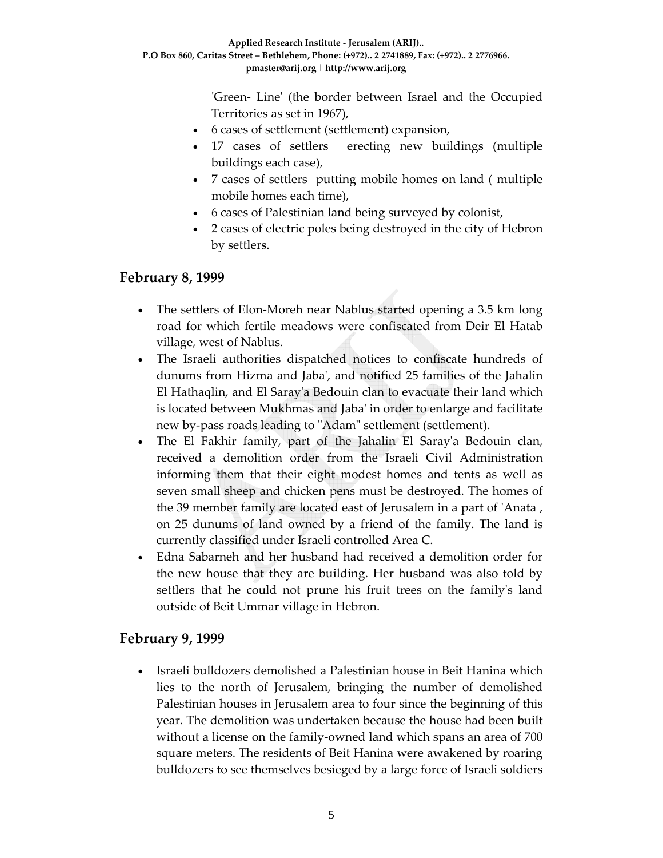ʹGreen‐ Lineʹ (the border between Israel and the Occupied Territories as set in 1967),

- 6 cases of settlement (settlement) expansion,
- 17 cases of settlers erecting new buildings (multiple buildings each case),
- 7 cases of settlers putting mobile homes on land ( multiple mobile homes each time),
- 6 cases of Palestinian land being surveyed by colonist,
- 2 cases of electric poles being destroyed in the city of Hebron by settlers.

#### **February 8, 1999**

- The settlers of Elon-Moreh near Nablus started opening a 3.5 km long road for which fertile meadows were confiscated from Deir El Hatab village, west of Nablus.
- The Israeli authorities dispatched notices to confiscate hundreds of dunums from Hizma and Jabaʹ, and notified 25 families of the Jahalin El Hathaqlin, and El Sarayʹa Bedouin clan to evacuate their land which is located between Mukhmas and Jabaʹ in order to enlarge and facilitate new by-pass roads leading to "Adam" settlement (settlement).
- The El Fakhir family, part of the Jahalin El Saray'a Bedouin clan, received a demolition order from the Israeli Civil Administration informing them that their eight modest homes and tents as well as seven small sheep and chicken pens must be destroyed. The homes of the 39 member family are located east of Jerusalem in a part of ʹAnata , on 25 dunums of land owned by a friend of the family. The land is currently classified under Israeli controlled Area C.
- Edna Sabarneh and her husband had received a demolition order for the new house that they are building. Her husband was also told by settlers that he could not prune his fruit trees on the familyʹs land outside of Beit Ummar village in Hebron.

# **February 9, 1999**

• Israeli bulldozers demolished a Palestinian house in Beit Hanina which lies to the north of Jerusalem, bringing the number of demolished Palestinian houses in Jerusalem area to four since the beginning of this year. The demolition was undertaken because the house had been built without a license on the family‐owned land which spans an area of 700 square meters. The residents of Beit Hanina were awakened by roaring bulldozers to see themselves besieged by a large force of Israeli soldiers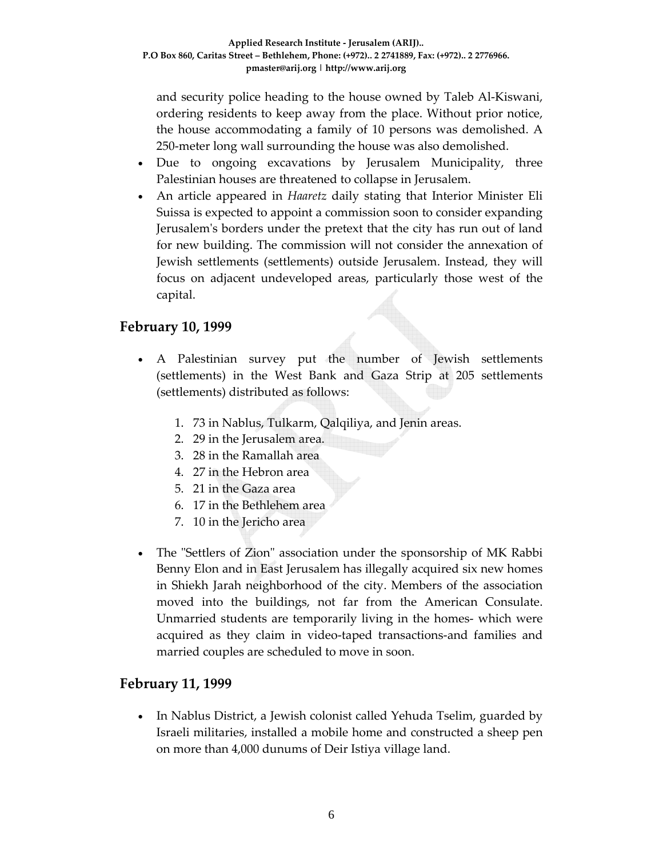and security police heading to the house owned by Taleb Al‐Kiswani, ordering residents to keep away from the place. Without prior notice, the house accommodating a family of 10 persons was demolished. A 250‐meter long wall surrounding the house was also demolished.

- Due to ongoing excavations by Jerusalem Municipality, three Palestinian houses are threatened to collapse in Jerusalem.
- An article appeared in *Haaretz* daily stating that Interior Minister Eli Suissa is expected to appoint a commission soon to consider expanding Jerusalemʹs borders under the pretext that the city has run out of land for new building. The commission will not consider the annexation of Jewish settlements (settlements) outside Jerusalem. Instead, they will focus on adjacent undeveloped areas, particularly those west of the capital.

### **February 10, 1999**

- A Palestinian survey put the number of Jewish settlements (settlements) in the West Bank and Gaza Strip at 205 settlements (settlements) distributed as follows:
	- 1. 73 in Nablus, Tulkarm, Qalqiliya, and Jenin areas.
	- 2. 29 in the Jerusalem area.
	- 3. 28 in the Ramallah area
	- 4. 27 in the Hebron area
	- 5. 21 in the Gaza area
	- 6. 17 in the Bethlehem area
	- 7. 10 in the Jericho area
- The "Settlers of Zion" association under the sponsorship of MK Rabbi Benny Elon and in East Jerusalem has illegally acquired six new homes in Shiekh Jarah neighborhood of the city. Members of the association moved into the buildings, not far from the American Consulate. Unmarried students are temporarily living in the homes‐ which were acquired as they claim in video‐taped transactions‐and families and married couples are scheduled to move in soon.

#### **February 11, 1999**

• In Nablus District, a Jewish colonist called Yehuda Tselim, guarded by Israeli militaries, installed a mobile home and constructed a sheep pen on more than 4,000 dunums of Deir Istiya village land.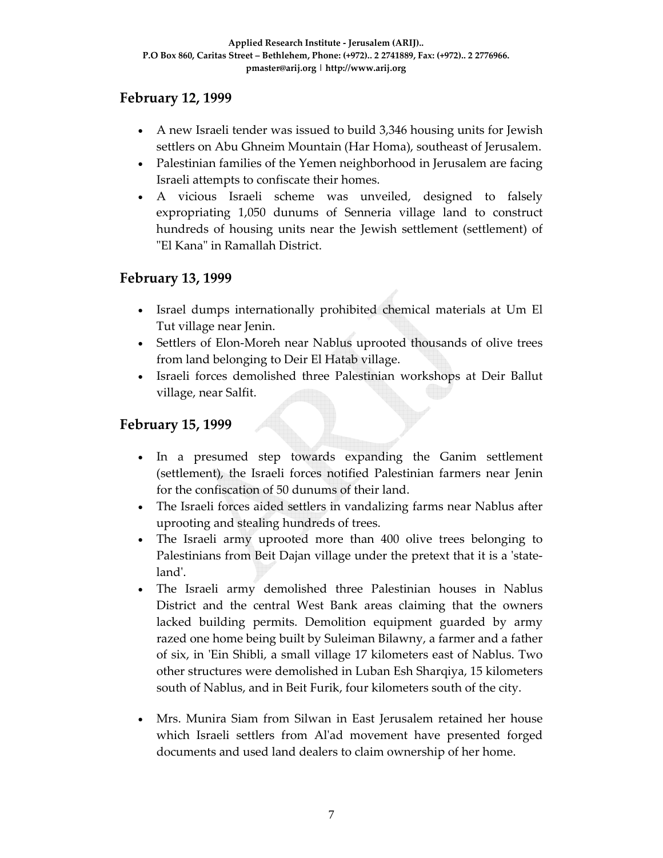### **February 12, 1999**

- A new Israeli tender was issued to build 3,346 housing units for Jewish settlers on Abu Ghneim Mountain (Har Homa), southeast of Jerusalem.
- Palestinian families of the Yemen neighborhood in Jerusalem are facing Israeli attempts to confiscate their homes.
- A vicious Israeli scheme was unveiled, designed to falsely expropriating 1,050 dunums of Senneria village land to construct hundreds of housing units near the Jewish settlement (settlement) of "El Kana" in Ramallah District.

### **February 13, 1999**

- Israel dumps internationally prohibited chemical materials at Um El Tut village near Jenin.
- Settlers of Elon-Moreh near Nablus uprooted thousands of olive trees from land belonging to Deir El Hatab village.
- Israeli forces demolished three Palestinian workshops at Deir Ballut village, near Salfit.

### **February 15, 1999**

- In a presumed step towards expanding the Ganim settlement (settlement), the Israeli forces notified Palestinian farmers near Jenin for the confiscation of 50 dunums of their land.
- The Israeli forces aided settlers in vandalizing farms near Nablus after uprooting and stealing hundreds of trees.
- The Israeli army uprooted more than 400 olive trees belonging to Palestinians from Beit Dajan village under the pretext that it is a 'stateland'.
- The Israeli army demolished three Palestinian houses in Nablus District and the central West Bank areas claiming that the owners lacked building permits. Demolition equipment guarded by army razed one home being built by Suleiman Bilawny, a farmer and a father of six, in 'Ein Shibli, a small village 17 kilometers east of Nablus. Two other structures were demolished in Luban Esh Sharqiya, 15 kilometers south of Nablus, and in Beit Furik, four kilometers south of the city.
- Mrs. Munira Siam from Silwan in East Jerusalem retained her house which Israeli settlers from Alʹad movement have presented forged documents and used land dealers to claim ownership of her home.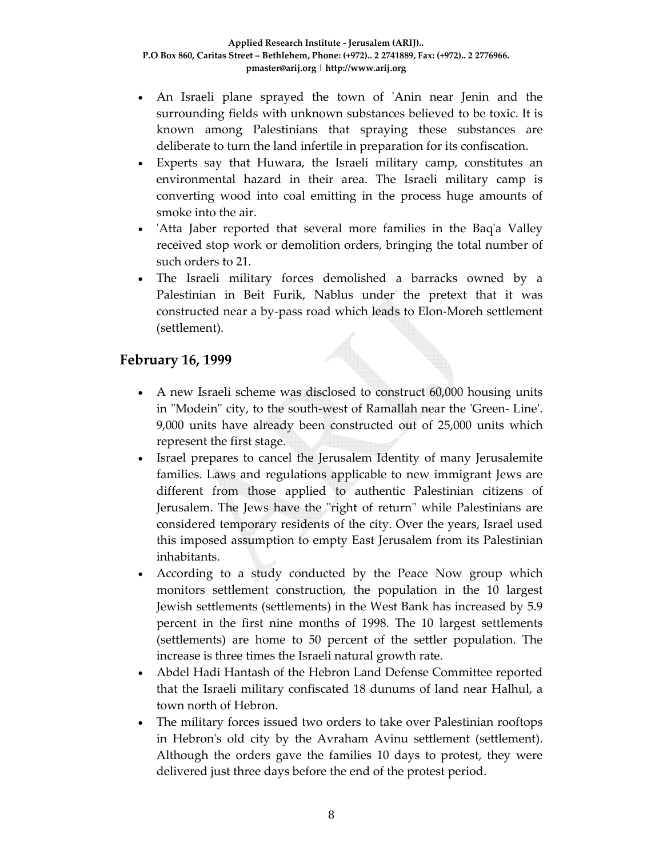- An Israeli plane sprayed the town of 'Anin near Jenin and the surrounding fields with unknown substances believed to be toxic. It is known among Palestinians that spraying these substances are deliberate to turn the land infertile in preparation for its confiscation.
- Experts say that Huwara, the Israeli military camp, constitutes an environmental hazard in their area. The Israeli military camp is converting wood into coal emitting in the process huge amounts of smoke into the air.
- 'Atta Jaber reported that several more families in the Baq'a Valley received stop work or demolition orders, bringing the total number of such orders to 21.
- The Israeli military forces demolished a barracks owned by a Palestinian in Beit Furik, Nablus under the pretext that it was constructed near a by‐pass road which leads to Elon‐Moreh settlement (settlement).

# **February 16, 1999**

- A new Israeli scheme was disclosed to construct 60,000 housing units in "Modein" city, to the south-west of Ramallah near the 'Green-Line'. 9,000 units have already been constructed out of 25,000 units which represent the first stage.
- Israel prepares to cancel the Jerusalem Identity of many Jerusalemite families. Laws and regulations applicable to new immigrant Jews are different from those applied to authentic Palestinian citizens of Jerusalem. The Jews have the "right of return" while Palestinians are considered temporary residents of the city. Over the years, Israel used this imposed assumption to empty East Jerusalem from its Palestinian inhabitants.
- According to a study conducted by the Peace Now group which monitors settlement construction, the population in the 10 largest Jewish settlements (settlements) in the West Bank has increased by 5.9 percent in the first nine months of 1998. The 10 largest settlements (settlements) are home to 50 percent of the settler population. The increase is three times the Israeli natural growth rate.
- Abdel Hadi Hantash of the Hebron Land Defense Committee reported that the Israeli military confiscated 18 dunums of land near Halhul, a town north of Hebron.
- The military forces issued two orders to take over Palestinian rooftops in Hebron's old city by the Avraham Avinu settlement (settlement). Although the orders gave the families 10 days to protest, they were delivered just three days before the end of the protest period.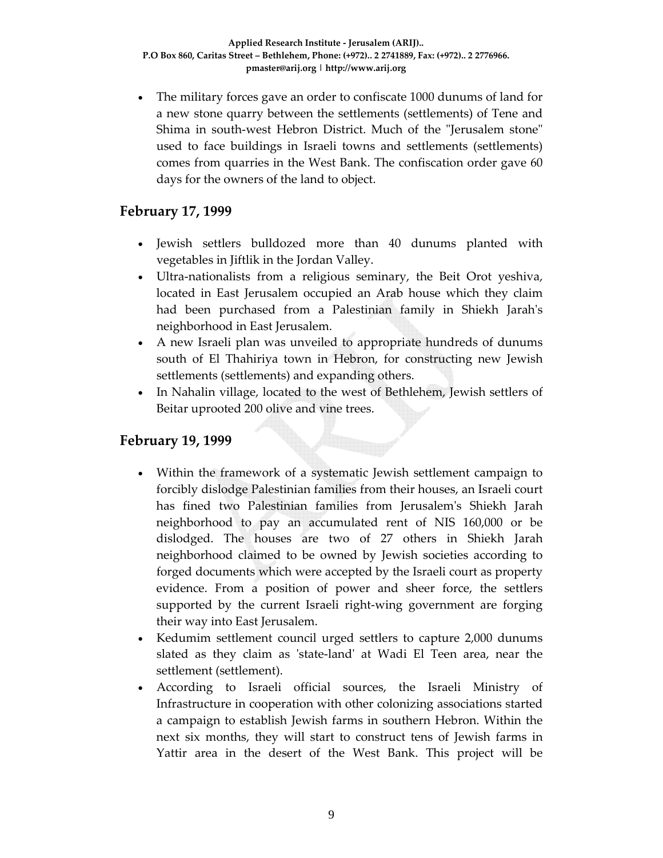• The military forces gave an order to confiscate 1000 dunums of land for a new stone quarry between the settlements (settlements) of Tene and Shima in south-west Hebron District. Much of the "Jerusalem stone" used to face buildings in Israeli towns and settlements (settlements) comes from quarries in the West Bank. The confiscation order gave 60 days for the owners of the land to object.

#### **February 17, 1999**

- Jewish settlers bulldozed more than 40 dunums planted with vegetables in Jiftlik in the Jordan Valley.
- Ultra-nationalists from a religious seminary, the Beit Orot yeshiva, located in East Jerusalem occupied an Arab house which they claim had been purchased from a Palestinian family in Shiekh Jarahʹs neighborhood in East Jerusalem.
- A new Israeli plan was unveiled to appropriate hundreds of dunums south of El Thahiriya town in Hebron, for constructing new Jewish settlements (settlements) and expanding others.
- In Nahalin village, located to the west of Bethlehem, Jewish settlers of Beitar uprooted 200 olive and vine trees.

#### **February 19, 1999**

- Within the framework of a systematic Jewish settlement campaign to forcibly dislodge Palestinian families from their houses, an Israeli court has fined two Palestinian families from Jerusalemʹs Shiekh Jarah neighborhood to pay an accumulated rent of NIS 160,000 or be dislodged. The houses are two of 27 others in Shiekh Jarah neighborhood claimed to be owned by Jewish societies according to forged documents which were accepted by the Israeli court as property evidence. From a position of power and sheer force, the settlers supported by the current Israeli right‐wing government are forging their way into East Jerusalem.
- Kedumim settlement council urged settlers to capture 2,000 dunums slated as they claim as 'state-land' at Wadi El Teen area, near the settlement (settlement).
- According to Israeli official sources, the Israeli Ministry of Infrastructure in cooperation with other colonizing associations started a campaign to establish Jewish farms in southern Hebron. Within the next six months, they will start to construct tens of Jewish farms in Yattir area in the desert of the West Bank. This project will be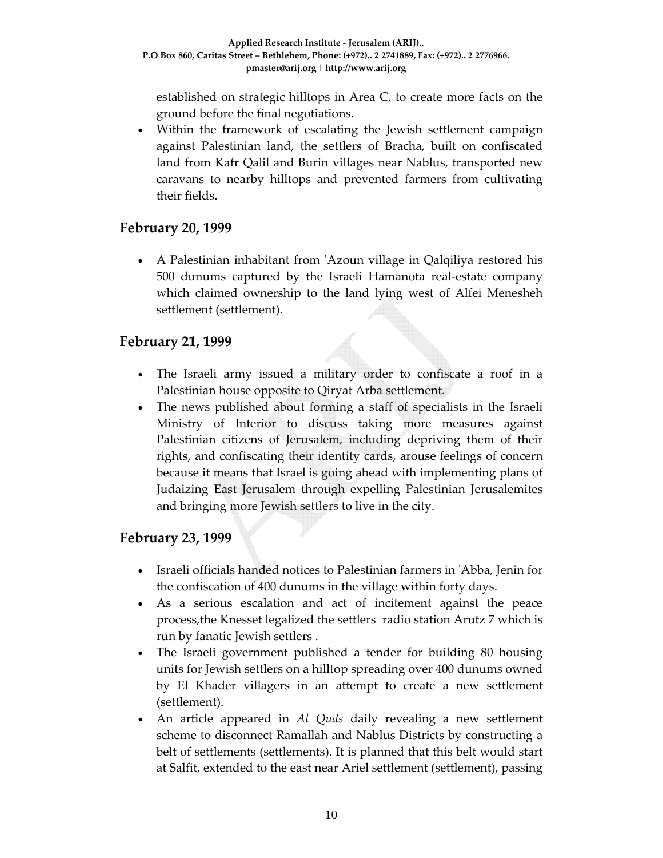established on strategic hilltops in Area C, to create more facts on the ground before the final negotiations.

• Within the framework of escalating the Jewish settlement campaign against Palestinian land, the settlers of Bracha, built on confiscated land from Kafr Qalil and Burin villages near Nablus, transported new caravans to nearby hilltops and prevented farmers from cultivating their fields.

### **February 20, 1999**

• A Palestinian inhabitant from 'Azoun village in Qalqiliya restored his 500 dunums captured by the Israeli Hamanota real‐estate company which claimed ownership to the land lying west of Alfei Menesheh settlement (settlement).

### **February 21, 1999**

- The Israeli army issued a military order to confiscate a roof in a Palestinian house opposite to Qiryat Arba settlement.
- The news published about forming a staff of specialists in the Israeli Ministry of Interior to discuss taking more measures against Palestinian citizens of Jerusalem, including depriving them of their rights, and confiscating their identity cards, arouse feelings of concern because it means that Israel is going ahead with implementing plans of Judaizing East Jerusalem through expelling Palestinian Jerusalemites and bringing more Jewish settlers to live in the city.

# **February 23, 1999**

- Israeli officials handed notices to Palestinian farmers in 'Abba, Jenin for the confiscation of 400 dunums in the village within forty days.
- As a serious escalation and act of incitement against the peace process,the Knesset legalized the settlers radio station Arutz 7 which is run by fanatic Jewish settlers .
- The Israeli government published a tender for building 80 housing units for Jewish settlers on a hilltop spreading over 400 dunums owned by El Khader villagers in an attempt to create a new settlement (settlement).
- An article appeared in *Al Quds* daily revealing a new settlement scheme to disconnect Ramallah and Nablus Districts by constructing a belt of settlements (settlements). It is planned that this belt would start at Salfit, extended to the east near Ariel settlement (settlement), passing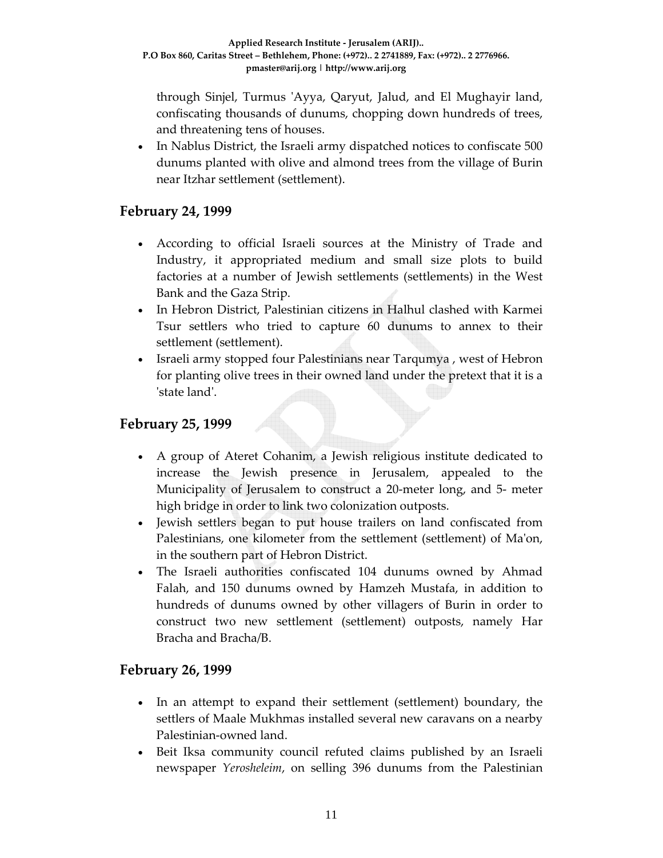through Sinjel, Turmus ʹAyya, Qaryut, Jalud, and El Mughayir land, confiscating thousands of dunums, chopping down hundreds of trees, and threatening tens of houses.

• In Nablus District, the Israeli army dispatched notices to confiscate 500 dunums planted with olive and almond trees from the village of Burin near Itzhar settlement (settlement).

#### **February 24, 1999**

- According to official Israeli sources at the Ministry of Trade and Industry, it appropriated medium and small size plots to build factories at a number of Jewish settlements (settlements) in the West Bank and the Gaza Strip.
- In Hebron District, Palestinian citizens in Halhul clashed with Karmei Tsur settlers who tried to capture 60 dunums to annex to their settlement (settlement).
- Israeli army stopped four Palestinians near Tarqumya , west of Hebron for planting olive trees in their owned land under the pretext that it is a ʹstate landʹ.

#### **February 25, 1999**

- A group of Ateret Cohanim, a Jewish religious institute dedicated to increase the Jewish presence in Jerusalem, appealed to the Municipality of Jerusalem to construct a 20-meter long, and 5- meter high bridge in order to link two colonization outposts.
- Jewish settlers began to put house trailers on land confiscated from Palestinians, one kilometer from the settlement (settlement) of Ma'on, in the southern part of Hebron District.
- The Israeli authorities confiscated 104 dunums owned by Ahmad Falah, and 150 dunums owned by Hamzeh Mustafa, in addition to hundreds of dunums owned by other villagers of Burin in order to construct two new settlement (settlement) outposts, namely Har Bracha and Bracha/B.

#### **February 26, 1999**

- In an attempt to expand their settlement (settlement) boundary, the settlers of Maale Mukhmas installed several new caravans on a nearby Palestinian‐owned land.
- Beit Iksa community council refuted claims published by an Israeli newspaper *Yerosheleim*, on selling 396 dunums from the Palestinian